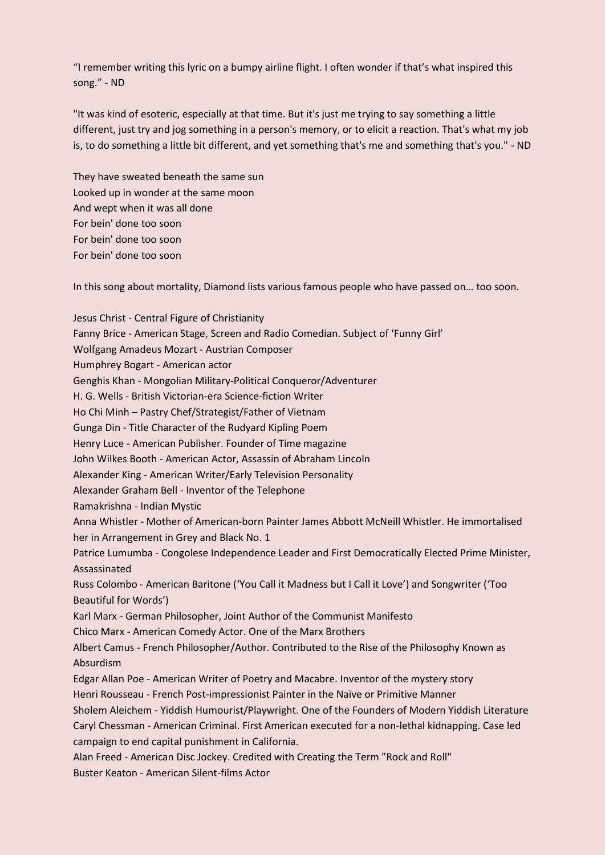"I remember writing this lyric on a bumpy airline flight. I often wonder if that's what inspired this song." - ND

"It was kind of esoteric, especially at that time. But it's just me trying to say something a little different, just try and jog something in a person's memory, or to elicit a reaction. That's what my job is, to do something a little bit different, and yet something that's me and something that's you." - ND

They have sweated beneath the same sun Looked up in wonder at the same moon And wept when it was all done For bein' done too soon For bein' done too soon For bein' done too soon

In this song about mortality, Diamond lists various famous people who have passed on… too soon.

Jesus Christ - Central Figure of Christianity Fanny Brice - American Stage, Screen and Radio Comedian. Subject of 'Funny Girl' Wolfgang Amadeus Mozart - Austrian Composer Humphrey Bogart - American actor Genghis Khan - Mongolian Military-Political Conqueror/Adventurer H. G. Wells - British Victorian-era Science-fiction Writer Ho Chi Minh – Pastry Chef/Strategist/Father of Vietnam Gunga Din - Title Character of the Rudyard Kipling Poem Henry Luce - American Publisher. Founder of Time magazine John Wilkes Booth - American Actor, Assassin of Abraham Lincoln Alexander King - American Writer/Early Television Personality Alexander Graham Bell - Inventor of the Telephone Ramakrishna - Indian Mystic Anna Whistler - Mother of American-born Painter James Abbott McNeill Whistler. He immortalised her in Arrangement in Grey and Black No. 1 Patrice Lumumba - Congolese Independence Leader and First Democratically Elected Prime Minister, Assassinated Russ Colombo - American Baritone ('You Call it Madness but I Call it Love') and Songwriter ('Too Beautiful for Words') Karl Marx - German Philosopher, Joint Author of the Communist Manifesto Chico Marx - American Comedy Actor. One of the Marx Brothers Albert Camus - French Philosopher/Author. Contributed to the Rise of the Philosophy Known as Absurdism Edgar Allan Poe - American Writer of Poetry and Macabre. Inventor of the mystery story Henri Rousseau - French Post-impressionist Painter in the Naïve or Primitive Manner Sholem Aleichem - Yiddish Humourist/Playwright. One of the Founders of Modern Yiddish Literature Caryl Chessman - American Criminal. First American executed for a non-lethal kidnapping. Case led campaign to end capital punishment in California. Alan Freed - American Disc Jockey. Credited with Creating the Term "Rock and Roll" Buster Keaton - American Silent-films Actor